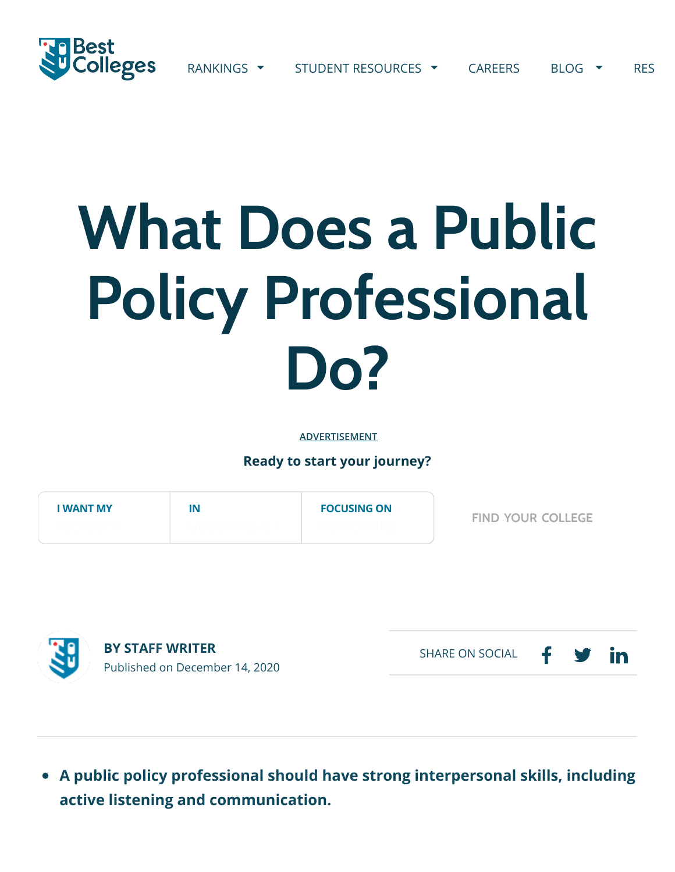

## **What Does a Public Policy Professional Do?**

**ADVERTISEMENT**

**Ready to start your journey?**

| <b>I WANT MY</b> | IN | <b>FOCUSING ON</b> | <b>FIND YOUR COLLEGE</b> |
|------------------|----|--------------------|--------------------------|
|                  |    |                    |                          |



**BY STAFF WRITER** Published on December 14, 2020

in SHARE ON SOCIAL

**A public policy professional should have strong interpersonal skills, including active listening and communication.**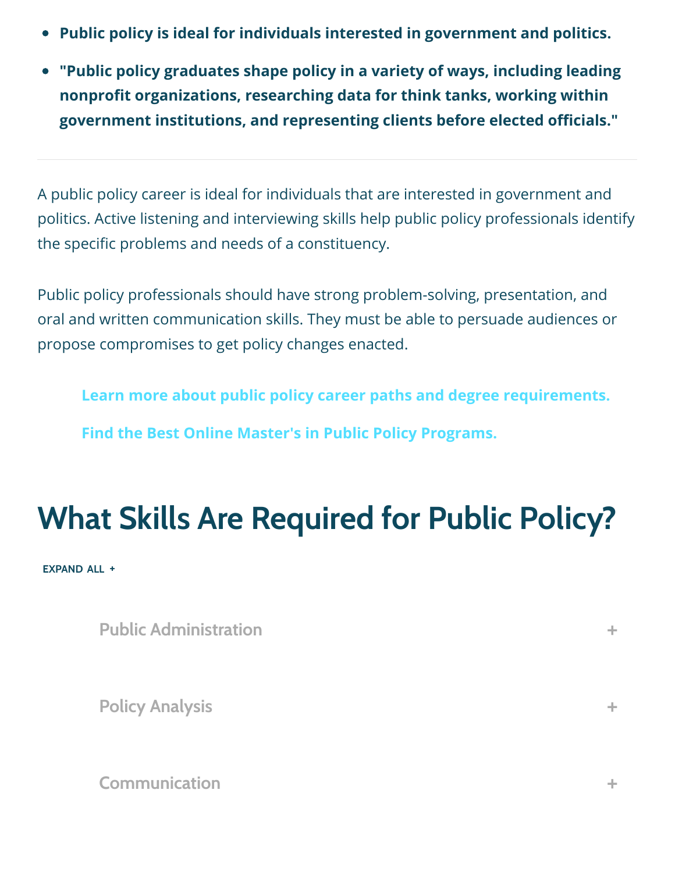- **Public policy is ideal for individuals interested in government and politics.**
- **"Public policy graduates shape policy in a variety of ways, including leading nonpro!t organizations, researching data for think tanks, working within government institutions, and representing clients before elected o"cials."**

A public policy career is ideal for individuals that are interested in government and politics. Active listening and interviewing skills help public policy professionals identify the specific problems and needs of a constituency.

Public policy professionals should have strong problem-solving, presentation, and oral and written communication skills. They must be able to persuade audiences or propose compromises to get policy changes enacted.

**[Learn more about public policy career paths and degree requirements.](https://www.bestcolleges.com/careers/law/public-policy/)**

**[Find the Best Online Master's in Public Policy Programs.](https://www.bestcolleges.com/features/top-online-masters-in-public-policy-programs/)**

## **What Skills Are Required for Public Policy?**

**EXPAND ALL +**

| <b>Public Administration</b> | ÷  |
|------------------------------|----|
| <b>Policy Analysis</b>       | ÷. |
| <b>Communication</b>         | -- |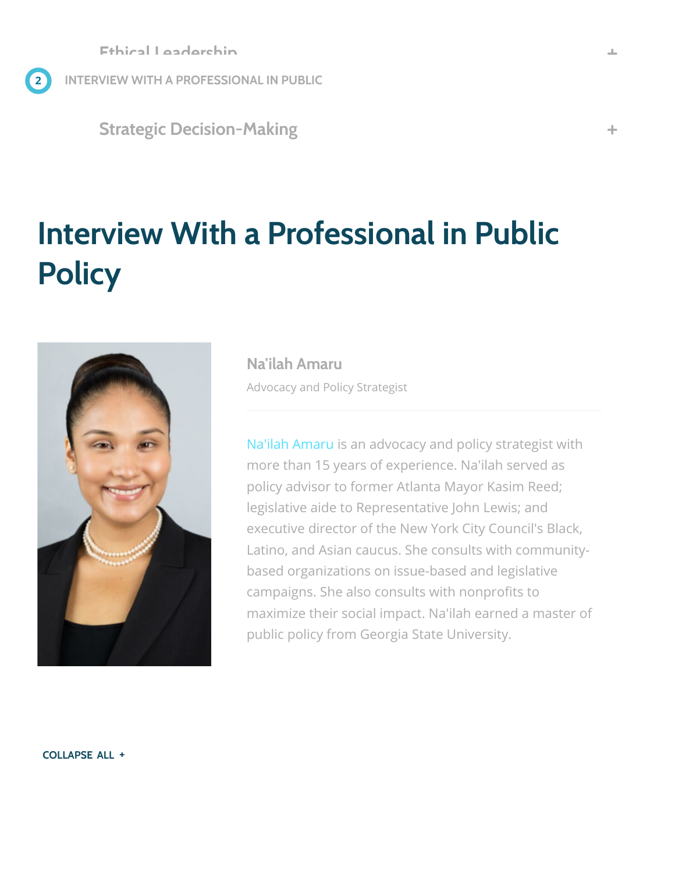**2 INTERVIEW WITH A PROFESSIONAL IN PUBLIC…**

**Strategic Decision-Making +**

## **Interview With a Professional in Public Policy**



**Na'ilah Amaru** Advocacy and Policy Strategist

[Na'ilah Amaru](https://www.linkedin.com/in/nailahamaru/) is an advocacy and policy strategist with more than 15 years of experience. Na'ilah served as policy advisor to former Atlanta Mayor Kasim Reed; legislative aide to Representative John Lewis; and executive director of the New York City Council's Black, Latino, and Asian caucus. She consults with communitybased organizations on issue-based and legislative campaigns. She also consults with nonprofits to maximize their social impact. Na'ilah earned a master of public policy from Georgia State University.

**COLLAPSE ALL +**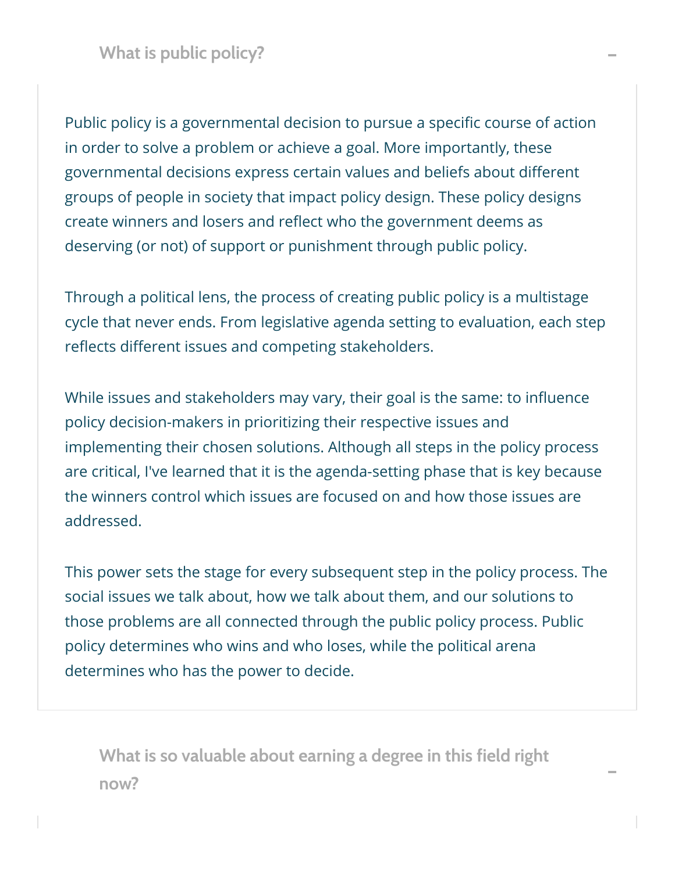Public policy is a governmental decision to pursue a specific course of action in order to solve a problem or achieve a goal. More importantly, these governmental decisions express certain values and beliefs about different groups of people in society that impact policy design. These policy designs create winners and losers and reflect who the government deems as deserving (or not) of support or punishment through public policy.

Through a political lens, the process of creating public policy is a multistage cycle that never ends. From legislative agenda setting to evaluation, each step reflects different issues and competing stakeholders.

While issues and stakeholders may vary, their goal is the same: to influence policy decision-makers in prioritizing their respective issues and implementing their chosen solutions. Although all steps in the policy process are critical, I've learned that it is the agenda-setting phase that is key because the winners control which issues are focused on and how those issues are addressed.

This power sets the stage for every subsequent step in the policy process. The social issues we talk about, how we talk about them, and our solutions to those problems are all connected through the public policy process. Public policy determines who wins and who loses, while the political arena determines who has the power to decide.

**What is so valuable about earning a degree in this field right now? –**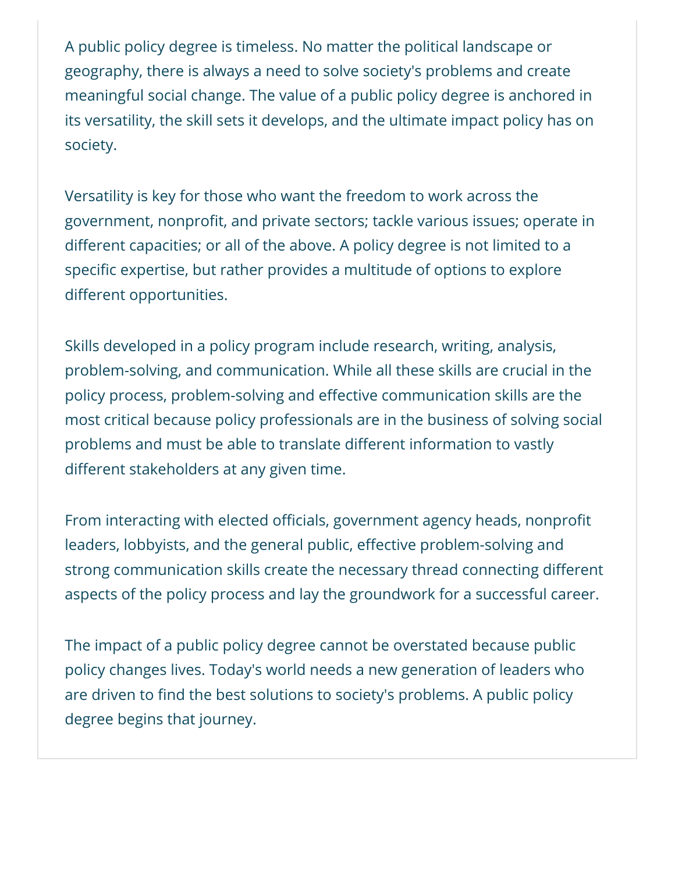A public policy degree is timeless. No matter the political landscape or geography, there is always a need to solve society's problems and create meaningful social change. The value of a public policy degree is anchored in its versatility, the skill sets it develops, and the ultimate impact policy has on society.

Versatility is key for those who want the freedom to work across the government, nonprofit, and private sectors; tackle various issues; operate in different capacities; or all of the above. A policy degree is not limited to a specific expertise, but rather provides a multitude of options to explore different opportunities.

Skills developed in a policy program include research, writing, analysis, problem-solving, and communication. While all these skills are crucial in the policy process, problem-solving and effective communication skills are the most critical because policy professionals are in the business of solving social problems and must be able to translate different information to vastly different stakeholders at any given time.

From interacting with elected officials, government agency heads, nonprofit leaders, lobbyists, and the general public, effective problem-solving and strong communication skills create the necessary thread connecting different aspects of the policy process and lay the groundwork for a successful career.

The impact of a public policy degree cannot be overstated because public policy changes lives. Today's world needs a new generation of leaders who are driven to find the best solutions to society's problems. A public policy degree begins that journey.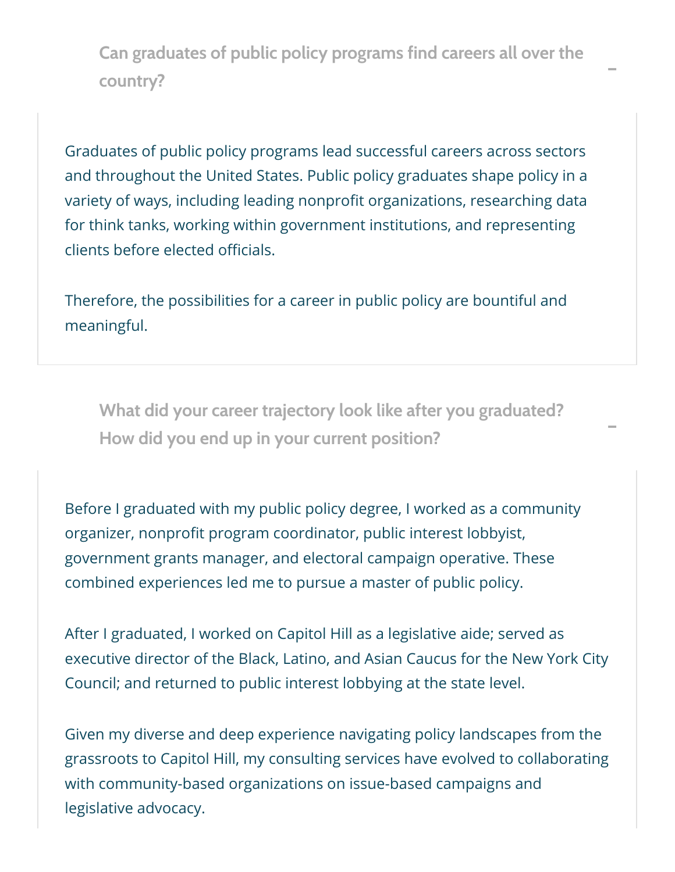**Can graduates of public policy programs find careers all over the country? –**

Graduates of public policy programs lead successful careers across sectors and throughout the United States. Public policy graduates shape policy in a variety of ways, including leading nonprofit organizations, researching data for think tanks, working within government institutions, and representing clients before elected officials.

Therefore, the possibilities for a career in public policy are bountiful and meaningful.

**What did your career trajectory look like after you graduated? How did you end up in your current position? –**

Before I graduated with my public policy degree, I worked as a community organizer, nonprofit program coordinator, public interest lobbyist, government grants manager, and electoral campaign operative. These combined experiences led me to pursue a master of public policy.

After I graduated, I worked on Capitol Hill as a legislative aide; served as executive director of the Black, Latino, and Asian Caucus for the New York City Council; and returned to public interest lobbying at the state level.

Given my diverse and deep experience navigating policy landscapes from the grassroots to Capitol Hill, my consulting services have evolved to collaborating with community-based organizations on issue-based campaigns and legislative advocacy.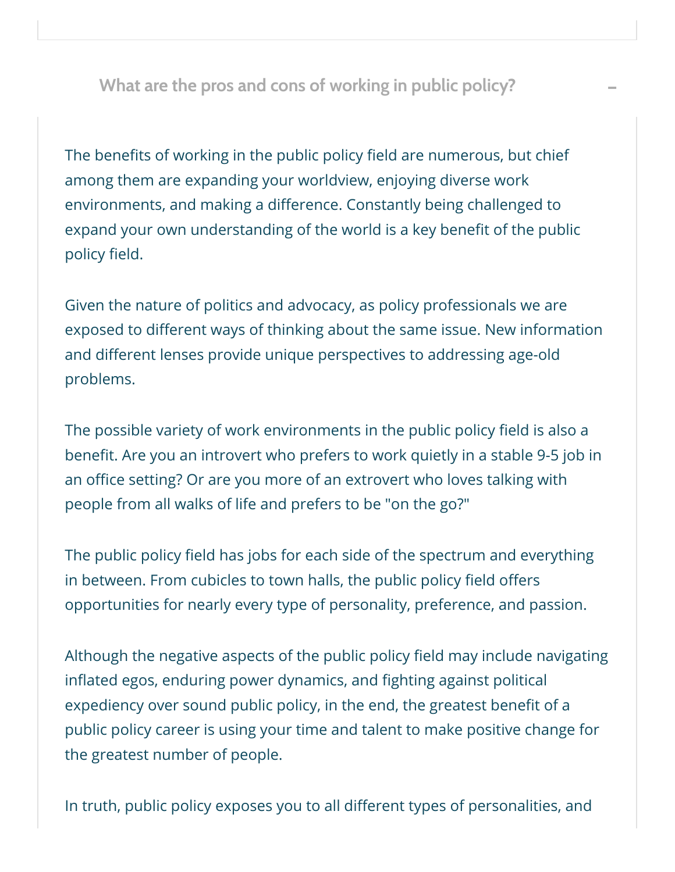**What are the pros and cons of working in public policy? –**

The benefits of working in the public policy field are numerous, but chief among them are expanding your worldview, enjoying diverse work environments, and making a difference. Constantly being challenged to expand your own understanding of the world is a key benefit of the public policy field.

Given the nature of politics and advocacy, as policy professionals we are exposed to different ways of thinking about the same issue. New information and different lenses provide unique perspectives to addressing age-old problems.

The possible variety of work environments in the public policy field is also a benefit. Are you an introvert who prefers to work quietly in a stable 9-5 job in an office setting? Or are you more of an extrovert who loves talking with people from all walks of life and prefers to be "on the go?"

The public policy field has jobs for each side of the spectrum and everything in between. From cubicles to town halls, the public policy field offers opportunities for nearly every type of personality, preference, and passion.

Although the negative aspects of the public policy field may include navigating inflated egos, enduring power dynamics, and fighting against political expediency over sound public policy, in the end, the greatest benefit of a public policy career is using your time and talent to make positive change for the greatest number of people.

In truth, public policy exposes you to all different types of personalities, and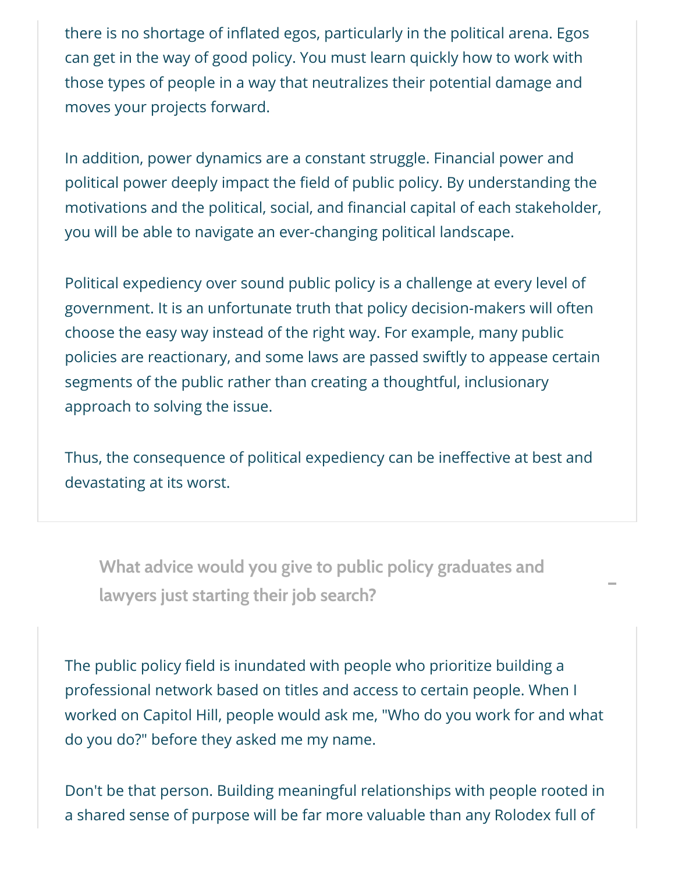there is no shortage of inflated egos, particularly in the political arena. Egos can get in the way of good policy. You must learn quickly how to work with those types of people in a way that neutralizes their potential damage and moves your projects forward.

In addition, power dynamics are a constant struggle. Financial power and political power deeply impact the field of public policy. By understanding the motivations and the political, social, and financial capital of each stakeholder, you will be able to navigate an ever-changing political landscape.

Political expediency over sound public policy is a challenge at every level of government. It is an unfortunate truth that policy decision-makers will often choose the easy way instead of the right way. For example, many public policies are reactionary, and some laws are passed swiftly to appease certain segments of the public rather than creating a thoughtful, inclusionary approach to solving the issue.

Thus, the consequence of political expediency can be ineffective at best and devastating at its worst.

**What advice would you give to public policy graduates and lawyers just starting their job search? –**

The public policy field is inundated with people who prioritize building a professional network based on titles and access to certain people. When I worked on Capitol Hill, people would ask me, "Who do you work for and what do you do?" before they asked me my name.

Don't be that person. Building meaningful relationships with people rooted in a shared sense of purpose will be far more valuable than any Rolodex full of